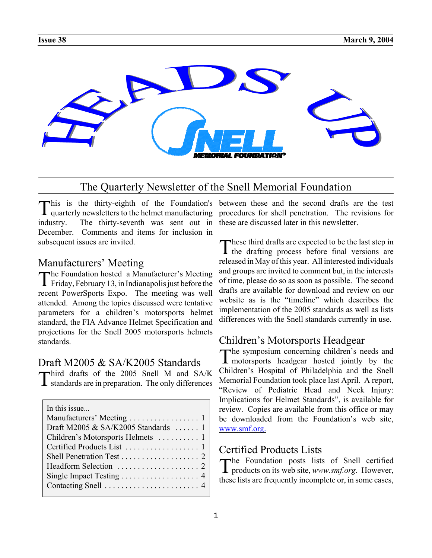

# The Quarterly Newsletter of the Snell Memorial Foundation

This is the thirty-eighth of the Foundation's quarterly newsletters to the helmet manufacturing industry. The thirty-seventh was sent out in December. Comments and items for inclusion in subsequent issues are invited.

### Manufacturers' Meeting

The Foundation hosted a Manufacturer's Meeting  $\blacktriangle$  Friday, February 13, in Indianapolis just before the recent PowerSports Expo. The meeting was well attended. Among the topics discussed were tentative parameters for a children's motorsports helmet standard, the FIA Advance Helmet Specification and projections for the Snell 2005 motorsports helmets standards.

### Draft M2005 & SA/K2005 Standards

Third drafts of the 2005 Snell M and SA/K standards are in preparation. The only differences

| In this issue                       |
|-------------------------------------|
|                                     |
| Draft M2005 & SA/K2005 Standards  1 |
| Children's Motorsports Helmets  1   |
|                                     |
|                                     |
|                                     |
| Single Impact Testing 4             |
|                                     |
|                                     |

 $\blacksquare$  his is the thirty-eighth of the Foundation's between these and the second drafts are the test procedures for shell penetration. The revisions for these are discussed later in this newsletter.

> These third drafts are expected to be the last step in  $\mathbf I$  the drafting process before final versions are released in May of this year. All interested individuals and groups are invited to comment but, in the interests of time, please do so as soon as possible. The second drafts are available for download and review on our website as is the "timeline" which describes the implementation of the 2005 standards as well as lists differences with the Snell standards currently in use.

## Children's Motorsports Headgear

The symposium concerning children's needs and motorsports headgear hosted jointly by the Children's Hospital of Philadelphia and the Snell Memorial Foundation took place last April. A report, "Review of Pediatric Head and Neck Injury: Implications for Helmet Standards", is available for review. Copies are available from this office or may be downloaded from the Foundation's web site, www.smf.org.

## Certified Products Lists

The Foundation posts lists of Snell certified products on its web site, *www.smf.org*. However, these lists are frequently incomplete or, in some cases,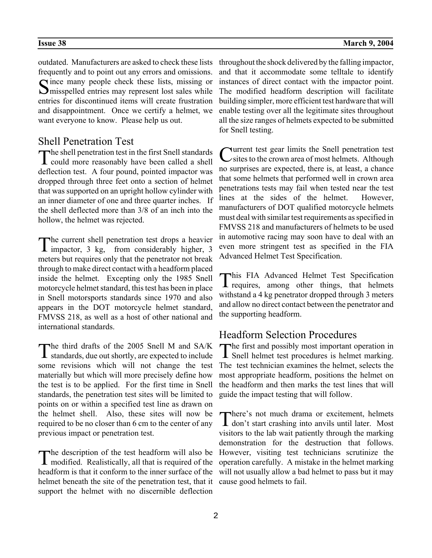outdated. Manufacturers are asked to check these lists frequently and to point out any errors and omissions. Since many people check these lists, missing or  $\sum$  misspelled entries may represent lost sales while entries for discontinued items will create frustration and disappointment. Once we certify a helmet, we want everyone to know. Please help us out.

## Shell Penetration Test

The shell penetration test in the first Snell standards<br>could more reasonably have been called a shell deflection test. A four pound, pointed impactor was dropped through three feet onto a section of helmet that was supported on an upright hollow cylinder with an inner diameter of one and three quarter inches. If the shell deflected more than 3/8 of an inch into the hollow, the helmet was rejected.

The current shell penetration test drops a heavier impactor, 3 kg, from considerably higher, 3 meters but requires only that the penetrator not break through to make direct contact with a headform placed inside the helmet. Excepting only the 1985 Snell motorcycle helmet standard, this test has been in place in Snell motorsports standards since 1970 and also appears in the DOT motorcycle helmet standard, FMVSS 218, as well as a host of other national and international standards.

The third drafts of the 2005 Snell M and SA/K  $\perp$  standards, due out shortly, are expected to include some revisions which will not change the test materially but which will more precisely define how the test is to be applied. For the first time in Snell standards, the penetration test sites will be limited to points on or within a specified test line as drawn on the helmet shell. Also, these sites will now be required to be no closer than 6 cm to the center of any previous impact or penetration test.

The description of the test headform will also be modified. Realistically, all that is required of the headform is that it conform to the inner surface of the helmet beneath the site of the penetration test, that it support the helmet with no discernible deflection

throughout the shock delivered by the falling impactor, and that it accommodate some telltale to identify instances of direct contact with the impactor point. The modified headform description will facilitate building simpler, more efficient test hardware that will enable testing over all the legitimate sites throughout all the size ranges of helmets expected to be submitted for Snell testing.

Current test gear limits the Snell penetration test<br>
Csites to the crown area of most helmets. Although no surprises are expected, there is, at least, a chance that some helmets that performed well in crown area penetrations tests may fail when tested near the test lines at the sides of the helmet. However, manufacturers of DOT qualified motorcycle helmets must deal with similar test requirements as specified in FMVSS 218 and manufacturers of helmets to be used in automotive racing may soon have to deal with an even more stringent test as specified in the FIA Advanced Helmet Test Specification.

This FIA Advanced Helmet Test Specification requires, among other things, that helmets withstand a 4 kg penetrator dropped through 3 meters and allow no direct contact between the penetrator and the supporting headform.

## Headform Selection Procedures

The first and possibly most important operation in Snell helmet test procedures is helmet marking. The test technician examines the helmet, selects the most appropriate headform, positions the helmet on the headform and then marks the test lines that will guide the impact testing that will follow.

There's not much drama or excitement, helmets don't start crashing into anvils until later. Most visitors to the lab wait patiently through the marking demonstration for the destruction that follows. However, visiting test technicians scrutinize the operation carefully. A mistake in the helmet marking will not usually allow a bad helmet to pass but it may cause good helmets to fail.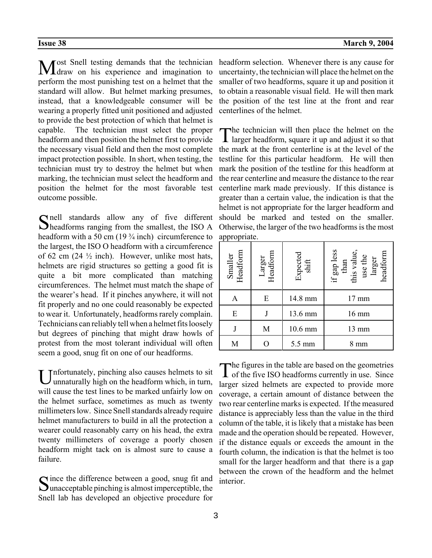Most Snell testing demands that the technician<br>Mdraw on his experience and imagination to perform the most punishing test on a helmet that the standard will allow. But helmet marking presumes, instead, that a knowledgeable consumer will be wearing a properly fitted unit positioned and adjusted to provide the best protection of which that helmet is capable. The technician must select the proper headform and then position the helmet first to provide the necessary visual field and then the most complete impact protection possible. In short, when testing, the technician must try to destroy the helmet but when marking, the technician must select the headform and position the helmet for the most favorable test outcome possible.

Snell standards allow any of five different headforms ranging from the smallest, the ISO A headform with a 50 cm (19 <sup>3</sup>/<sub>4</sub> inch) circumference to the largest, the ISO O headform with a circumference of 62 cm  $(24 \frac{1}{2} \text{ inch})$ . However, unlike most hats, helmets are rigid structures so getting a good fit is quite a bit more complicated than matching circumferences. The helmet must match the shape of the wearer's head. If it pinches anywhere, it will not fit properly and no one could reasonably be expected to wear it. Unfortunately, headforms rarely complain. Technicians can reliably tell when a helmet fits loosely but degrees of pinching that might draw howls of protest from the most tolerant individual will often seem a good, snug fit on one of our headforms.

 $\Gamma$ nfortunately, pinching also causes helmets to sit unnaturally high on the headform which, in turn, will cause the test lines to be marked unfairly low on the helmet surface, sometimes as much as twenty millimeters low. Since Snell standards already require helmet manufacturers to build in all the protection a wearer could reasonably carry on his head, the extra twenty millimeters of coverage a poorly chosen headform might tack on is almost sure to cause a failure.

Since the difference between a good, snug fit and  $\sum$  unacceptable pinching is almost imperceptible, the Snell lab has developed an objective procedure for headform selection. Whenever there is any cause for uncertainty, the technician will place the helmet on the smaller of two headforms, square it up and position it to obtain a reasonable visual field. He will then mark the position of the test line at the front and rear centerlines of the helmet.

The technician will then place the helmet on the larger headform, square it up and adjust it so that the mark at the front centerline is at the level of the testline for this particular headform. He will then mark the position of the testline for this headform at the rear centerline and measure the distance to the rear centerline mark made previously. If this distance is greater than a certain value, the indication is that the helmet is not appropriate for the larger headform and should be marked and tested on the smaller. Otherwise, the larger of the two headforms is the most appropriate.

| Smaller<br>Headform | Headform<br>Larger | Expected<br>shift | if gap less<br>than<br>this value,<br>use the<br>headform<br>larger |
|---------------------|--------------------|-------------------|---------------------------------------------------------------------|
| A                   | E                  | 14.8 mm           | $17 \text{ mm}$                                                     |
| E                   |                    | 13.6 mm           | $16 \text{ mm}$                                                     |
|                     | M                  | 10.6 mm           | $13 \text{ mm}$                                                     |
| M                   |                    | 5.5 mm            | mm                                                                  |

The figures in the table are based on the geometries<br>of the five ISO headforms currently in use. Since larger sized helmets are expected to provide more coverage, a certain amount of distance between the two rear centerline marks is expected. If the measured distance is appreciably less than the value in the third column of the table, it is likely that a mistake has been made and the operation should be repeated. However, if the distance equals or exceeds the amount in the fourth column, the indication is that the helmet is too small for the larger headform and that there is a gap between the crown of the headform and the helmet interior.